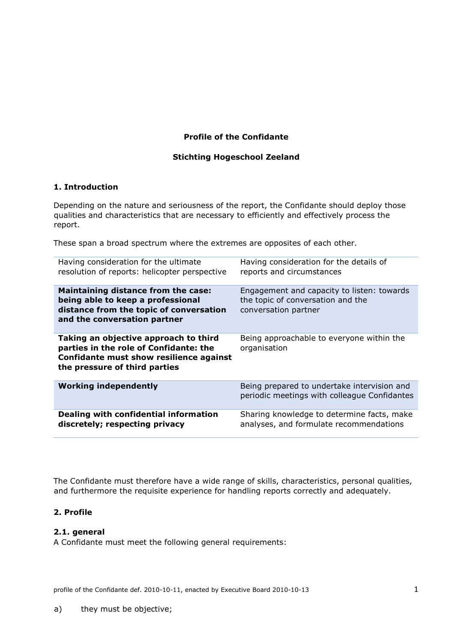### **Profile of the Confidante**

### **Stichting Hogeschool Zeeland**

#### **1. Introduction**

Depending on the nature and seriousness of the report, the Confidante should deploy those qualities and characteristics that are necessary to efficiently and effectively process the report.

These span a broad spectrum where the extremes are opposites of each other.

| Having consideration for the ultimate<br>resolution of reports: helicopter perspective                                                                      | Having consideration for the details of<br>reports and circumstances                                    |
|-------------------------------------------------------------------------------------------------------------------------------------------------------------|---------------------------------------------------------------------------------------------------------|
| <b>Maintaining distance from the case:</b><br>being able to keep a professional<br>distance from the topic of conversation<br>and the conversation partner  | Engagement and capacity to listen: towards<br>the topic of conversation and the<br>conversation partner |
| Taking an objective approach to third<br>parties in the role of Confidante: the<br>Confidante must show resilience against<br>the pressure of third parties | Being approachable to everyone within the<br>organisation                                               |
| <b>Working independently</b>                                                                                                                                | Being prepared to undertake intervision and<br>periodic meetings with colleague Confidantes             |
| Dealing with confidential information<br>discretely; respecting privacy                                                                                     | Sharing knowledge to determine facts, make<br>analyses, and formulate recommendations                   |

The Confidante must therefore have a wide range of skills, characteristics, personal qualities, and furthermore the requisite experience for handling reports correctly and adequately.

### **2. Profile**

### **2.1. general**

A Confidante must meet the following general requirements:

profile of the Confidante def. 2010-10-11, enacted by Executive Board 2010-10-13 1